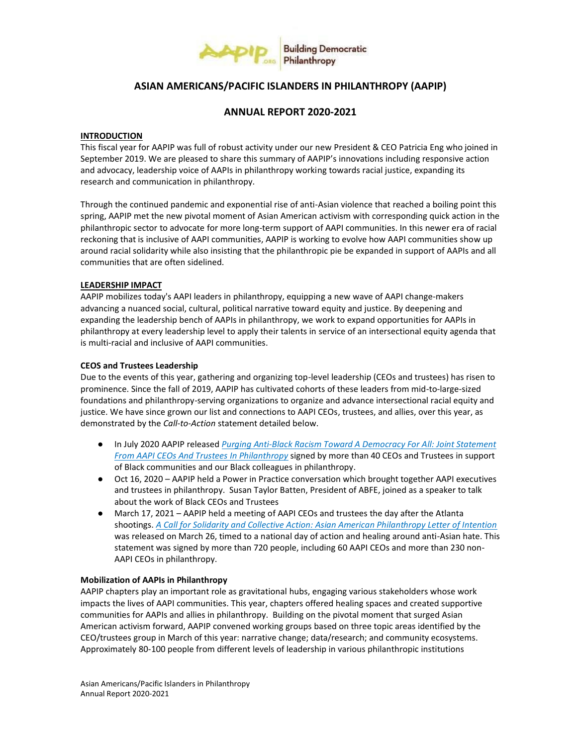

# **ASIAN AMERICANS/PACIFIC ISLANDERS IN PHILANTHROPY (AAPIP)**

# **ANNUAL REPORT 2020-2021**

# **INTRODUCTION**

This fiscal year for AAPIP was full of robust activity under our new President & CEO Patricia Eng who joined in September 2019. We are pleased to share this summary of AAPIP's innovations including responsive action and advocacy, leadership voice of AAPIs in philanthropy working towards racial justice, expanding its research and communication in philanthropy.

Through the continued pandemic and exponential rise of anti-Asian violence that reached a boiling point this spring, AAPIP met the new pivotal moment of Asian American activism with corresponding quick action in the philanthropic sector to advocate for more long-term support of AAPI communities. In this newer era of racial reckoning that is inclusive of AAPI communities, AAPIP is working to evolve how AAPI communities show up around racial solidarity while also insisting that the philanthropic pie be expanded in support of AAPIs and all communities that are often sidelined.

# **LEADERSHIP IMPACT**

AAPIP mobilizes today's AAPI leaders in philanthropy, equipping a new wave of AAPI change-makers advancing a nuanced social, cultural, political narrative toward equity and justice. By deepening and expanding the leadership bench of AAPIs in philanthropy, we work to expand opportunities for AAPIs in philanthropy at every leadership level to apply their talents in service of an intersectional equity agenda that is multi-racial and inclusive of AAPI communities.

# **CEOS and Trustees Leadership**

Due to the events of this year, gathering and organizing top-level leadership (CEOs and trustees) has risen to prominence. Since the fall of 2019, AAPIP has cultivated cohorts of these leaders from mid-to-large-sized foundations and philanthropy-serving organizations to organize and advance intersectional racial equity and justice. We have since grown our list and connections to AAPI CEOs, trustees, and allies, over this year, as demonstrated by the *Call-to-Action* statement detailed below.

- In July 2020 AAPIP release[d](https://aapip.org/our-stories/purging-anti-black-racism-toward-a-democracy-for-all-joint-statement-from-aapi-ceos-and) *[Purging Anti-Black Racism Toward A Democracy For All: Joint Statement](https://aapip.org/our-stories/purging-anti-black-racism-toward-a-democracy-for-all-joint-statement-from-aapi-ceos-and)  [From AAPI CEOs And Trustees In Philanthropy](https://aapip.org/our-stories/purging-anti-black-racism-toward-a-democracy-for-all-joint-statement-from-aapi-ceos-and)* signed by more than 40 CEOs and Trustees in support of Black communities and our Black colleagues in philanthropy.
- Oct 16, 2020 AAPIP held a Power in Practice conversation which brought together AAPI executives and trustees in philanthropy. Susan Taylor Batten, President of ABFE, joined as a speaker to talk about the work of Black CEOs and Trustees
- March 17, 2021 AAPIP held a meeting of AAPI CEOs and trustees the day after the Atlanta shootings. *[A Call for Solidarity and Collective Action: Asian American Philanthropy Letter of Intention](https://aapip.org/our-stories/a-call-for-solidarity-and-collective-action-asian-american-philanthropy-letter-of)* was released on March 26, timed to a national day of action and healing around anti-Asian hate. This statement was signed by more than 720 people, including 60 AAPI CEOs and more than 230 non-AAPI CEOs in philanthropy.

# **Mobilization of AAPIs in Philanthropy**

AAPIP chapters play an important role as gravitational hubs, engaging various stakeholders whose work impacts the lives of AAPI communities. This year, chapters offered healing spaces and created supportive communities for AAPIs and allies in philanthropy. Building on the pivotal moment that surged Asian American activism forward, AAPIP convened working groups based on three topic areas identified by the CEO/trustees group in March of this year: narrative change; data/research; and community ecosystems. Approximately 80-100 people from different levels of leadership in various philanthropic institutions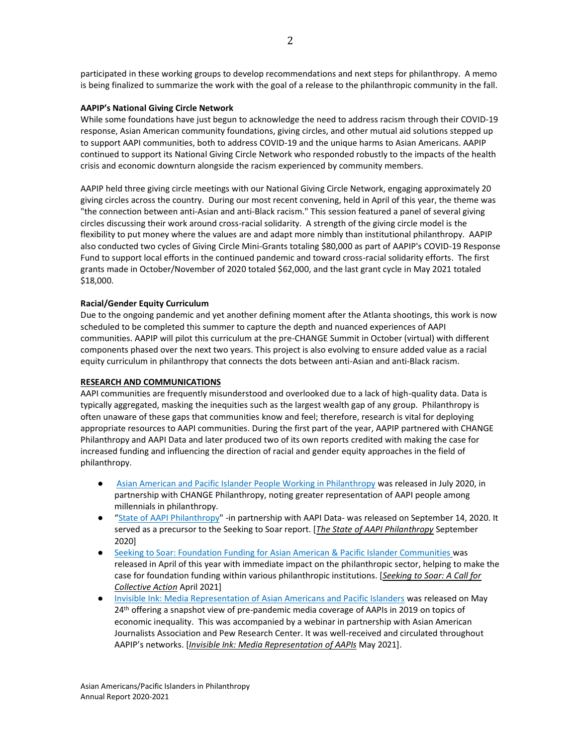participated in these working groups to develop recommendations and next steps for philanthropy. A memo is being finalized to summarize the work with the goal of a release to the philanthropic community in the fall.

# **AAPIP's National Giving Circle Network**

While some foundations have just begun to acknowledge the need to address racism through their COVID-19 response, Asian American community foundations, giving circles, and other mutual aid solutions stepped up to support AAPI communities, both to address COVID-19 and the unique harms to Asian Americans. AAPIP continued to support its National Giving Circle Network who responded robustly to the impacts of the health crisis and economic downturn alongside the racism experienced by community members.

AAPIP held three giving circle meetings with our National Giving Circle Network, engaging approximately 20 giving circles across the country. During our most recent convening, held in April of this year, the theme was "the connection between anti-Asian and anti-Black racism." This session featured a panel of several giving circles discussing their work around cross-racial solidarity. A strength of the giving circle model is the flexibility to put money where the values are and adapt more nimbly than institutional philanthropy. AAPIP also conducted two cycles of Giving Circle Mini-Grants totaling \$80,000 as part of AAPIP's COVID-19 Response Fund to support local efforts in the continued pandemic and toward cross-racial solidarity efforts. The first grants made in October/November of 2020 totaled \$62,000, and the last grant cycle in May 2021 totaled \$18,000.

# **Racial/Gender Equity Curriculum**

Due to the ongoing pandemic and yet another defining moment after the Atlanta shootings, this work is now scheduled to be completed this summer to capture the depth and nuanced experiences of AAPI communities. AAPIP will pilot this curriculum at the pre-CHANGE Summit in October (virtual) with different components phased over the next two years. This project is also evolving to ensure added value as a racial equity curriculum in philanthropy that connects the dots between anti-Asian and anti-Black racism.

#### **RESEARCH AND COMMUNICATIONS**

AAPI communities are frequently misunderstood and overlooked due to a lack of high-quality data. Data is typically aggregated, masking the inequities such as the largest wealth gap of any group. Philanthropy is often unaware of these gaps that communities know and feel; therefore, research is vital for deploying appropriate resources to AAPI communities. During the first part of the year, AAPIP partnered with CHANGE Philanthropy and AAPI Data and later produced two of its own reports credited with making the case for increased funding and influencing the direction of racial and gender equity approaches in the field of philanthropy.

- [Asian American and Pacific Islander People Working in Philanthropy](https://aapip.org/our-stories/asian-american-and-pacific-islander-people-working-in-philanthropy) was released in July 2020, in partnership with CHANGE Philanthropy, noting greater representation of AAPI people among millennials in philanthropy.
- "[State of AAPI Philanthropy"](https://aapip.org/our-stories/just-released-the-state-of-aapi-philanthropy-report) -in partnership with AAPI Data- was released on September 14, 2020. It served as a precursor to the Seeking to Soar report. [*[The State of AAPI Philanthropy](https://aapip.org/our-stories/recording-webinar-the-state-of-aapi-philanthropy)* September 2020]
- [Seeking to Soar: Foundation Funding for Asian American & Pacific Islander Communities](https://aapip.org/what-we-do/seeking-to-soar-foundation-funding-for-asian-american-pacific-islander-communities) was released in April of this year with immediate impact on the philanthropic sector, helping to make the case for foundation funding within various philanthropic institutions. [*[Seeking to Soar: A Call for](https://aapip.org/our-stories/seeking-to-soar-a-call-for-collective-action-webinar-recording)  [Collective Action](https://aapip.org/our-stories/seeking-to-soar-a-call-for-collective-action-webinar-recording)* April 2021]
- [Invisible Ink: Media Representation of Asian Americans and Pacific Islanders](https://aapip.org/what-we-do/invisible-ink) was released on May 24<sup>th</sup> offering a snapshot view of pre-pandemic media coverage of AAPIs in 2019 on topics of economic inequality. This was accompanied by a webinar in partnership with Asian American Journalists Association and Pew Research Center. It was well-received and circulated throughout AAPIP's networks. [*[Invisible Ink: Media Representation of AAPIs](https://aapip.org/our-stories/webinar-recording-invisible-ink-media-representation-of-aapis)* May 2021].